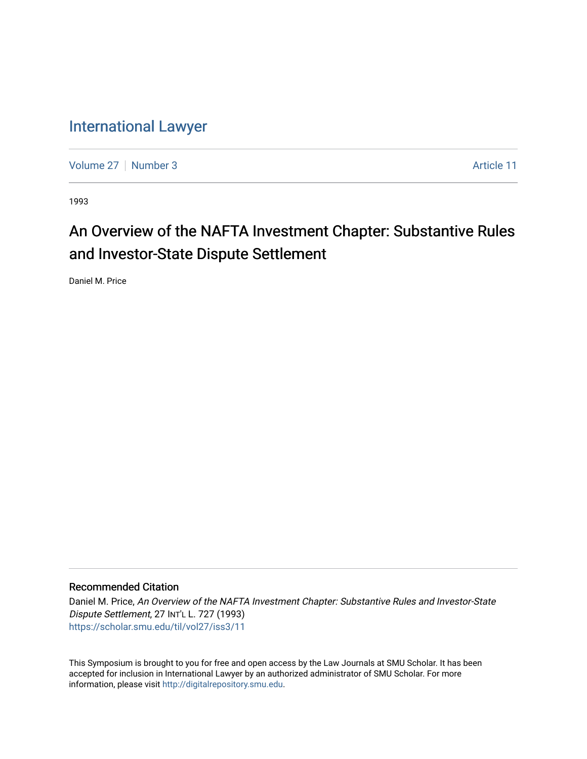## [International Lawyer](https://scholar.smu.edu/til)

[Volume 27](https://scholar.smu.edu/til/vol27) | [Number 3](https://scholar.smu.edu/til/vol27/iss3) Article 11

1993

# An Overview of the NAFTA Investment Chapter: Substantive Rules and Investor-State Dispute Settlement

Daniel M. Price

## Recommended Citation

Daniel M. Price, An Overview of the NAFTA Investment Chapter: Substantive Rules and Investor-State Dispute Settlement, 27 INT'L L. 727 (1993) [https://scholar.smu.edu/til/vol27/iss3/11](https://scholar.smu.edu/til/vol27/iss3/11?utm_source=scholar.smu.edu%2Ftil%2Fvol27%2Fiss3%2F11&utm_medium=PDF&utm_campaign=PDFCoverPages)

This Symposium is brought to you for free and open access by the Law Journals at SMU Scholar. It has been accepted for inclusion in International Lawyer by an authorized administrator of SMU Scholar. For more information, please visit [http://digitalrepository.smu.edu](http://digitalrepository.smu.edu/).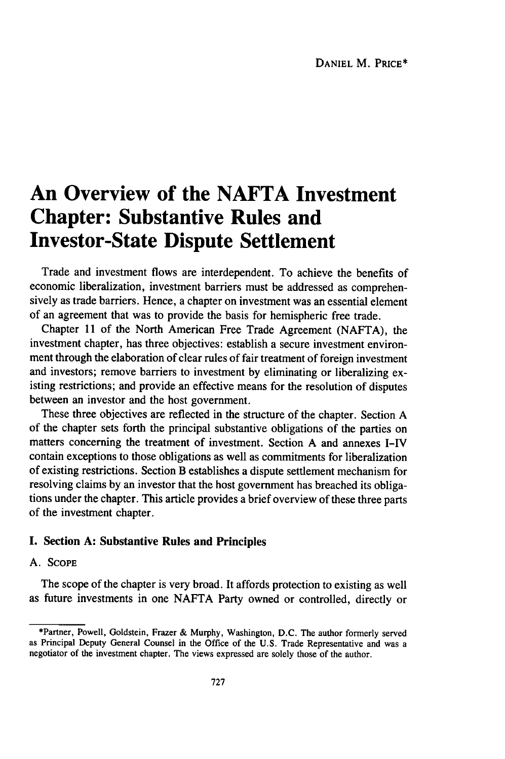## **An Overview of the NAFTA Investment Chapter: Substantive Rules and Investor-State Dispute Settlement**

Trade and investment flows are interdependent. To achieve the benefits of economic liberalization, investment barriers must be addressed as comprehensively as trade barriers. Hence, a chapter on investment was an essential element of an agreement that was to provide the basis for hemispheric free trade.

Chapter 11 of the North American Free Trade Agreement (NAFTA), the investment chapter, has three objectives: establish a secure investment environment through the elaboration of clear rules of fair treatment of foreign investment and investors; remove barriers to investment by eliminating or liberalizing existing restrictions; and provide an effective means for the resolution of disputes between an investor and the host government.

These three objectives are reflected in the structure of the chapter. Section A of the chapter sets forth the principal substantive obligations of the parties on matters concerning the treatment of investment. Section A and annexes I-IV contain exceptions to those obligations as well as commitments for liberalization of existing restrictions. Section B establishes a dispute settlement mechanism for resolving claims by an investor that the host government has breached its obligations under the chapter. This article provides a brief overview of these three parts of the investment chapter.

#### I. Section **A:** Substantive **Rules and Principles**

#### A. **SCOPE**

The scope of the chapter is very broad. It affords protection to existing as well as future investments in one **NAFTA** Party owned or controlled, directly or

<sup>\*</sup>Partner, Powell, Goldstein, Frazer & Murphy, Washington, **D.C.** The author formerly served as Principal Deputy General Counsel in the Office of the **U.S.** Trade Representative and was a negotiator of the investment chapter. The views expressed are solely those of the author.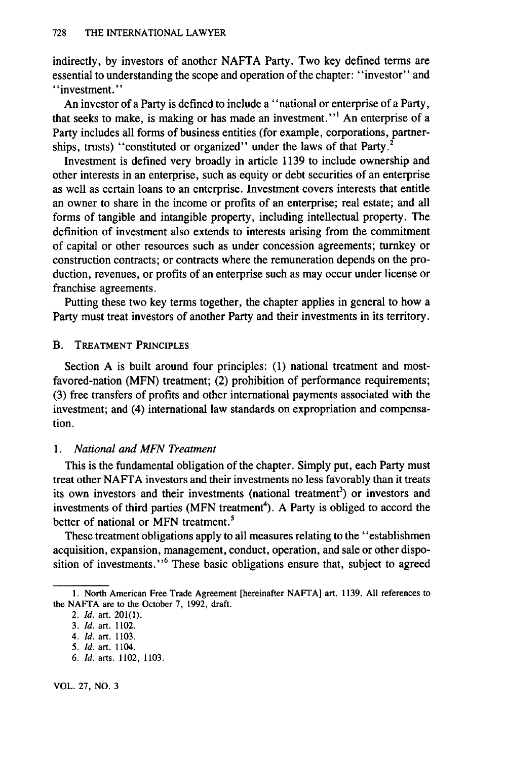indirectly, by investors of another NAFTA Party. Two key defined terms are essential to understanding the scope and operation of the chapter: "investor" and "investment."

An investor of a Party is defined to include a "national or enterprise of a Party, that seeks to make, is making or has made an investment."<sup>1</sup> An enterprise of a Party includes all forms of business entities (for example, corporations, partnerships, trusts) "constituted or organized" under the laws of that Party.<sup>2</sup>

Investment is defined very broadly in article 1139 to include ownership and other interests in an enterprise, such as equity or debt securities of an enterprise as well as certain loans to an enterprise. Investment covers interests that entitle an owner to share in the income or profits of an enterprise; real estate; and all forms of tangible and intangible property, including intellectual property. The definition of investment also extends to interests arising from the commitment of capital or other resources such as under concession agreements; turnkey or construction contracts; or contracts where the remuneration depends on the production, revenues, or profits of an enterprise such as may occur under license or franchise agreements.

Putting these two key terms together, the chapter applies in general to how a Party must treat investors of another Party and their investments in its territory.

#### B. TREATMENT PRINCIPLES

Section A is built around four principles: (1) national treatment and mostfavored-nation (MFN) treatment; (2) prohibition of performance requirements; (3) free transfers of profits and other international payments associated with the investment; and (4) international law standards on expropriation and compensation.

#### *1. National and MFN Treatment*

This is the fundamental obligation of the chapter. Simply put, each Party must treat other NAFTA investors and their investments no less favorably than it treats its own investors and their investments (national treatment<sup>3</sup>) or investors and investments of third parties (MFN treatment<sup>4</sup>). A Party is obliged to accord the better of national or MFN treatment.<sup>5</sup>

These treatment obligations apply to all measures relating to the "establishmen acquisition, expansion, management, conduct, operation, and sale or other disposition of investments."<sup>6</sup> These basic obligations ensure that, subject to agreed

6. **Id.** arts. 1102, 1103.

<sup>1.</sup> North American Free Trade Agreement [hereinafter NAFTA] art. 1139. All references to the NAFTA are to the October 7, 1992, draft.

<sup>2.</sup> *Id.* art. 201(1).

*<sup>3.</sup> Id.* art. 1102.

*<sup>4.</sup> Id.* art. 1103.

<sup>5.</sup> *Id.* art. 1104.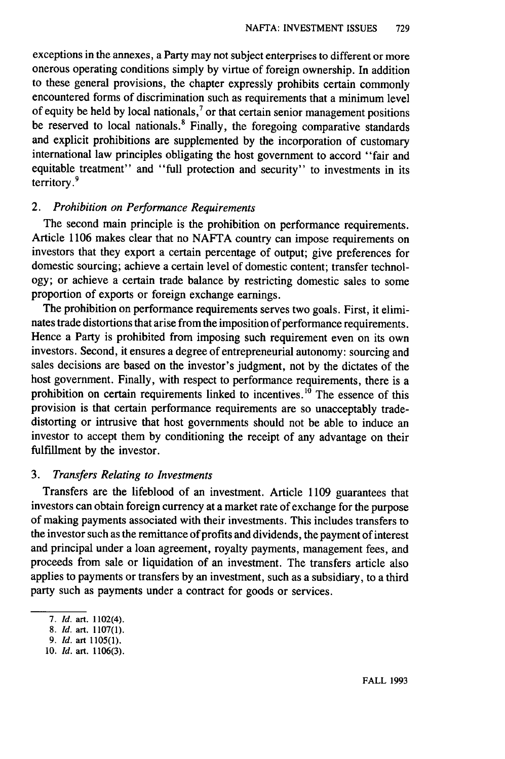exceptions in the annexes, a Party may not subject enterprises to different or more onerous operating conditions simply by virtue of foreign ownership. In addition to these general provisions, the chapter expressly prohibits certain commonly encountered forms of discrimination such as requirements that a minimum level of equity be held by local nationals, $<sup>7</sup>$  or that certain senior management positions</sup> be reserved to local nationals.<sup>8</sup> Finally, the foregoing comparative standards and explicit prohibitions are supplemented by the incorporation of customary international law principles obligating the host government to accord "fair and equitable treatment" and "full protection and security" to investments in its territory.'

#### *2. Prohibition on Performance Requirements*

The second main principle is the prohibition on performance requirements. Article 1106 makes clear that no NAFTA country can impose requirements on investors that they export a certain percentage of output; give preferences for domestic sourcing; achieve a certain level of domestic content; transfer technology; or achieve a certain trade balance by restricting domestic sales to some proportion of exports or foreign exchange earnings.

The prohibition on performance requirements serves two goals. First, it eliminates trade distortions that arise from the imposition of performance requirements. Hence a Party is prohibited from imposing such requirement even on its own investors. Second, it ensures a degree of entrepreneurial autonomy: sourcing and sales decisions are based on the investor's judgment, not by the dictates of the host government. Finally, with respect to performance requirements, there is a prohibition on certain requirements linked to incentives.<sup>10</sup> The essence of this provision is that certain performance requirements are so unacceptably tradedistorting or intrusive that host governments should not be able to induce an investor to accept them by conditioning the receipt of any advantage on their fulfillment by the investor.

#### *3. Transfers Relating to Investments*

Transfers are the lifeblood of an investment. Article 1109 guarantees that investors can obtain foreign currency at a market rate of exchange for the purpose of making payments associated with their investments. This includes transfers to the investor such as the remittance of profits and dividends, the payment of interest and principal under a loan agreement, royalty payments, management fees, and proceeds from sale or liquidation of an investment. The transfers article also applies to payments or transfers by an investment, such as a subsidiary, to a third party such as payments under a contract for goods or services.

<sup>7.</sup> *Id.* art. 1102(4).

<sup>8.</sup> *Id.* art. 1107(1).

<sup>9.</sup> *Id.* art 1105(1).

<sup>10.</sup> *Id.* art. 1106(3).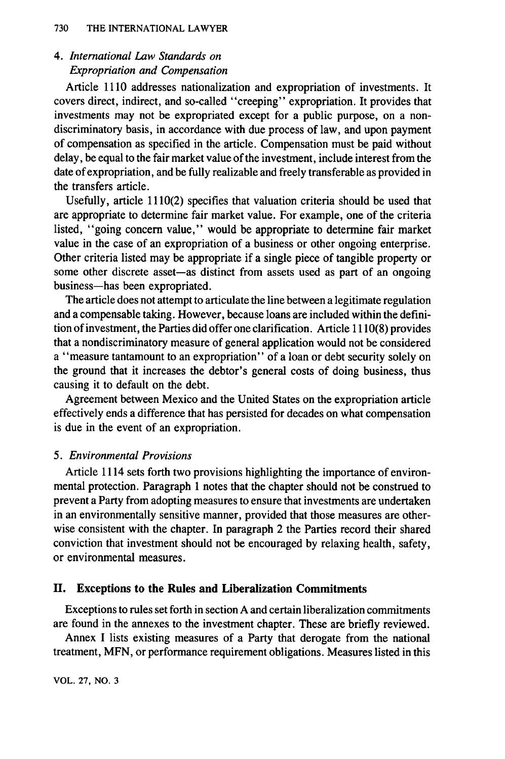### *4. International Law Standards on Expropriation and Compensation*

Article 1110 addresses nationalization and expropriation of investments. It covers direct, indirect, and so-called "creeping" expropriation. It provides that investments may not be expropriated except for a public purpose, on a nondiscriminatory basis, in accordance with due process of law, and upon payment of compensation as specified in the article. Compensation must be paid without delay, be equal to the fair market value of the investment, include interest from the date of expropriation, and be fully realizable and freely transferable as provided in the transfers article.

Usefully, article 1110(2) specifies that valuation criteria should be used that are appropriate to determine fair market value. For example, one of the criteria listed, "going concern value," would be appropriate to determine fair market value in the case of an expropriation of a business or other ongoing enterprise. Other criteria listed may be appropriate if a single piece of tangible property or some other discrete asset—as distinct from assets used as part of an ongoing business-has been expropriated.

The article does not attempt to articulate the line between a legitimate regulation and a compensable taking. However, because loans are included within the definition of investment, the Parties did offer one clarification. Article 1110(8) provides that a nondiscriminatory measure of general application would not be considered a "measure tantamount to an expropriation" of a loan or debt security solely on the ground that it increases the debtor's general costs of doing business, thus causing it to default on the debt.

Agreement between Mexico and the United States on the expropriation article effectively ends a difference that has persisted for decades on what compensation is due in the event of an expropriation.

#### *5. Environmental Provisions*

Article 1114 sets forth two provisions highlighting the importance of environmental protection. Paragraph 1 notes that the chapter should not be construed to prevent a Party from adopting measures to ensure that investments are undertaken in an environmentally sensitive manner, provided that those measures are otherwise consistent with the chapter. In paragraph 2 the Parties record their shared conviction that investment should not be encouraged by relaxing health, safety, or environmental measures.

#### **II.** Exceptions to **the Rules and Liberalization Commitments**

Exceptions to rules set forth in section A and certain liberalization commitments are found in the annexes to the investment chapter. These are briefly reviewed.

Annex I lists existing measures of a Party that derogate from the national treatment, MFN, or performance requirement obligations. Measures listed in this

VOL. 27, NO. **3**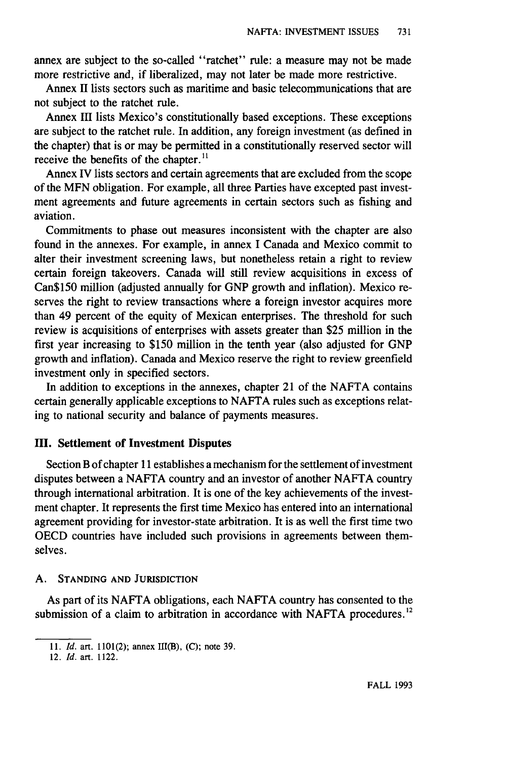annex are subject to the so-called "ratchet" rule: a measure may not be made more restrictive and, if liberalized, may not later be made more restrictive.

Annex II lists sectors such as maritime and basic telecommunications that are not subject to the ratchet rule.

Annex III lists Mexico's constitutionally based exceptions. These exceptions are subject to the ratchet rule. In addition, any foreign investment (as defined in the chapter) that is or may be permitted in a constitutionally reserved sector will receive the benefits of the chapter.<sup>11</sup>

Annex IV lists sectors and certain agreements that are excluded from the scope of the MFN obligation. For example, all three Parties have excepted past investment agreements and future agreements in certain sectors such as fishing and aviation.

Commitments to phase out measures inconsistent with the chapter are also found in the annexes. For example, in annex I Canada and Mexico commit to alter their investment screening laws, but nonetheless retain a right to review certain foreign takeovers. Canada will still review acquisitions in excess of Can\$150 million (adjusted annually for GNP growth and inflation). Mexico reserves the right to review transactions where a foreign investor acquires more than 49 percent of the equity of Mexican enterprises. The threshold for such review is acquisitions of enterprises with assets greater than \$25 million in the first year increasing to \$150 million in the tenth year (also adjusted for GNP growth and inflation). Canada and Mexico reserve the right to review greenfield investment only in specified sectors.

In addition to exceptions in the annexes, chapter 21 of the NAFTA contains certain generally applicable exceptions to NAFTA rules such as exceptions relating to national security and balance of payments measures.

#### **11.** Settlement of Investment Disputes

Section B of chapter 11 establishes a mechanism for the settlement of investment disputes between a NAFTA country and an investor of another NAFTA country through international arbitration. It is one of the key achievements of the investment chapter. It represents the first time Mexico has entered into an international agreement providing for investor-state arbitration. It is as well the first time two OECD countries have included such provisions in agreements between themselves.

#### A. **STANDING AND JURISDICTION**

As part of its NAFTA obligations, each NAFTA country has consented to the submission of a claim to arbitration in accordance with NAFTA procedures.<sup>12</sup>

**<sup>11.</sup>** *Id.* art. **1101(2);** annex III(B), **(C);** note **39.**

<sup>12.</sup> *Id.* art. 1122.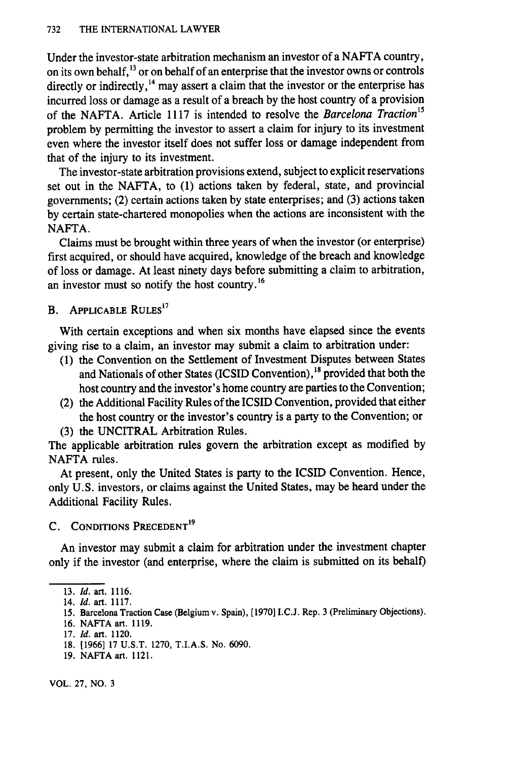Under the investor-state arbitration mechanism an investor of a NAFTA country, on its own behalf, <sup>13</sup> or on behalf of an enterprise that the investor owns or controls directly or indirectly,<sup>14</sup> may assert a claim that the investor or the enterprise has incurred loss or damage as a result of a breach by the host country of a provision of the NAFTA. Article 1117 is intended to resolve the *Barcelona Traction15* problem by permitting the investor to assert a claim for injury to its investment even where the investor itself does not suffer loss or damage independent from that of the injury to its investment.

The investor-state arbitration provisions extend, subject to explicit reservations set out in the NAFTA, to (1) actions taken by federal, state, and provincial governments; (2) certain actions taken by state enterprises; and (3) actions taken by certain state-chartered monopolies when the actions are inconsistent with the NAFTA.

Claims must be brought within three years of when the investor (or enterprise) first acquired, or should have acquired, knowledge of the breach and knowledge of loss or damage. At least ninety days before submitting a claim to arbitration, an investor must so notify the host country. <sup>16</sup>

B. APPLICABLE **RULES <sup>17</sup>**

With certain exceptions and when six months have elapsed since the events giving rise to a claim, an investor may submit a claim to arbitration under:

- (1) the Convention on the Settlement of Investment Disputes between States and Nationals of other States (ICSID Convention),<sup>18</sup> provided that both the host country and the investor's home country are parties to the Convention;
- (2) the Additional Facility Rules of the ICSID Convention, provided that either the host country or the investor's country is a party to the Convention; or
- (3) the UNCITRAL Arbitration Rules.

The applicable arbitration rules govern the arbitration except as modified by NAFTA rules.

At present, only the United States is party to the ICSID Convention. Hence, only U.S. investors, or claims against the United States, may be heard under the Additional Facility Rules.

#### **C. CONDITIONS PRECEDENT'<sup>9</sup>**

An investor may submit a claim for arbitration under the investment chapter only if the investor (and enterprise, where the claim is submitted on its behalf)

**<sup>13.</sup>** *Id.* art. **1116.**

<sup>14.</sup> *Id.* art. **1117.**

**<sup>15.</sup>** Barcelona Traction **Case** (Belgium v. Spain), **[1970] I.C.J.** Rep. **3** (Preliminary Objections).

**<sup>16.</sup> NAFTA** art. **1119.**

**<sup>17.</sup>** *Id.* **art.** 1120.

**<sup>18. [1966] 17</sup> U.S.T. 1270,** T.I.A.S. No. **6090.**

**<sup>19.</sup> NAFTA** art. 1121.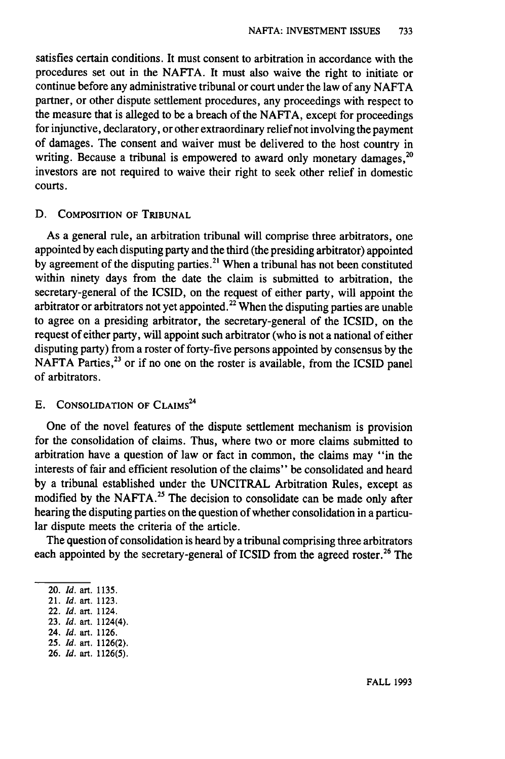satisfies certain conditions. It must consent to arbitration in accordance with the procedures set out in the NAFTA. It must also waive the right to initiate or continue before any administrative tribunal or court under the law of any NAFTA partner, or other dispute settlement procedures, any proceedings with respect to the measure that is alleged to be a breach of the NAFTA, except for proceedings for injunctive, declaratory, or other extraordinary relief not involving the payment of damages. The consent and waiver must be delivered to the host country in writing. Because a tribunal is empowered to award only monetary damages,  $^{20}$ investors are not required to waive their right to seek other relief in domestic courts.

#### **D.** COMPOSITION OF TRIBUNAL

As a general rule, an arbitration tribunal will comprise three arbitrators, one appointed by each disputing party and the third (the presiding arbitrator) appointed by agreement of the disputing parties.<sup>21</sup> When a tribunal has not been constituted within ninety days from the date the claim is submitted to arbitration, the secretary-general of the ICSID, on the request of either party, will appoint the arbitrator or arbitrators not yet appointed.<sup>22</sup> When the disputing parties are unable to agree on a presiding arbitrator, the secretary-general of the ICSID, on the request of either party, will appoint such arbitrator (who is not a national of either disputing party) from a roster of forty-five persons appointed by consensus by the NAFTA Parties, $^{23}$  or if no one on the roster is available, from the ICSID panel of arbitrators.

#### **E.** CONSOLIDATION OF CLAIMS<sup>24</sup>

One of the novel features of the dispute settlement mechanism is provision for the consolidation of claims. Thus, where two or more claims submitted to arbitration have a question of law or fact in common, the claims may "in the interests of fair and efficient resolution of the claims" be consolidated and heard by a tribunal established under the UNCITRAL Arbitration Rules, except as modified by the NAFTA.<sup>25</sup> The decision to consolidate can be made only after hearing the disputing parties on the question of whether consolidation in a particular dispute meets the criteria of the article.

The question of consolidation is heard by a tribunal comprising three arbitrators each appointed by the secretary-general of ICSID from the agreed roster.<sup>26</sup> The

- 22. *Id.* art. 1124.
- **23.** *Id.* art. 1124(4).
- 24. *Id.* art. **1126.**
- **25.** *Id.* art. **1126(2).**
- **26.** *Id.* art. **1126(5).**

<sup>20.</sup> *Id.* art. **1135.**

<sup>21.</sup> *Id.* art. **1123.**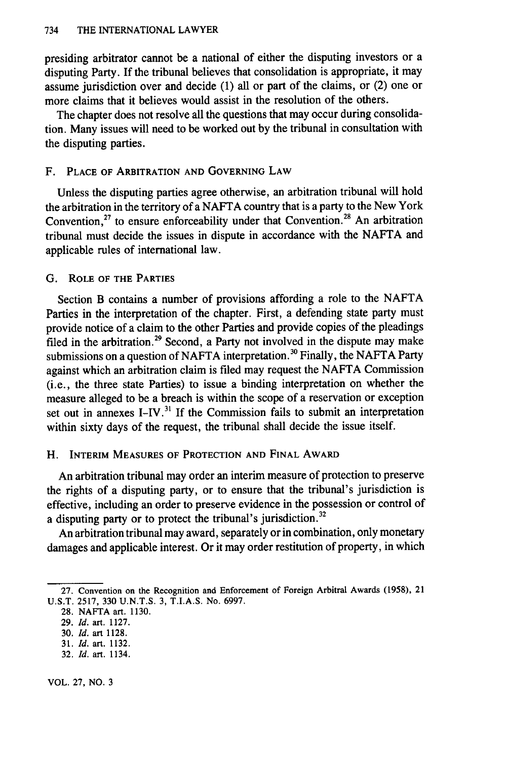presiding arbitrator cannot be a national of either the disputing investors or a disputing Party. If the tribunal believes that consolidation is appropriate, it may assume jurisdiction over and decide  $(1)$  all or part of the claims, or  $(2)$  one or more claims that it believes would assist in the resolution of the others.

The chapter does not resolve all the questions that may occur during consolidation. Many issues will need to be worked out by the tribunal in consultation with the disputing parties.

#### F. **PLACE OF ARBITRATION AND GOVERNING LAW**

Unless the disputing parties agree otherwise, an arbitration tribunal will hold the arbitration in the territory of a NAFTA country that is a party to the New York Convention,<sup>27</sup> to ensure enforceability under that Convention.<sup>28</sup> An arbitration tribunal must decide the issues in dispute in accordance with the NAFTA and applicable rules of international law.

#### G. **ROLE OF THE PARTIES**

Section B contains a number of provisions affording a role to the NAFTA Parties in the interpretation of the chapter. First, a defending state party must provide notice of a claim to the other Parties and provide copies of the pleadings filed in the arbitration.<sup>29</sup> Second, a Party not involved in the dispute may make submissions on a question of NAFTA interpretation.<sup>30</sup> Finally, the NAFTA Party against which an arbitration claim is filed may request the NAFTA Commission (i.e., the three state Parties) to issue a binding interpretation on whether the measure alleged to be a breach is within the scope of a reservation or exception set out in annexes I-IV.<sup>31</sup> If the Commission fails to submit an interpretation within sixty days of the request, the tribunal shall decide the issue itself.

#### H. **INTERIM MEASURES OF** PROTECTION **AND FINAL AWARD**

An arbitration tribunal may order an interim measure of protection to preserve the rights of a disputing party, or to ensure that the tribunal's jurisdiction is effective, including an order to preserve evidence in the possession or control of a disputing party or to protect the tribunal's jurisdiction.<sup>32</sup>

An arbitration tribunal may award, separately or in combination, only monetary damages and applicable interest. Or it may order restitution of property, in which

**32. Id.** art. 1134.

VOL. **27,** NO. **3**

<sup>27.</sup> Convention on the Recognition and Enforcement of Foreign Arbitral Awards (1958), 21 **U.S.T.** 2517, **330** U.N.T.S. **3,** T.I.A.S. No. 6997.

**<sup>28.</sup>** NAFTA art. **1130.**

**<sup>29.</sup> Id.** art. 1127.

**<sup>30.</sup>** *Id.* art 1128.

**<sup>31.</sup> Id.** art. **1132.**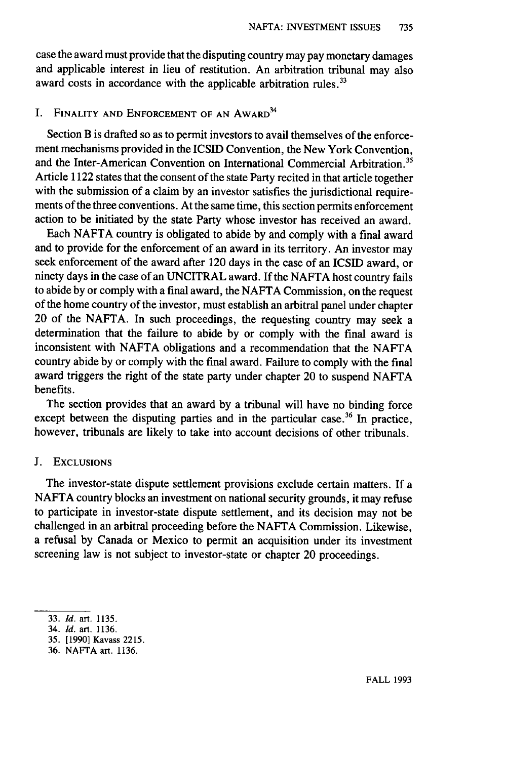case the award must provide that the disputing country may pay monetary damages and applicable interest in lieu of restitution. An arbitration tribunal may also award costs in accordance with the applicable arbitration rules.<sup>33</sup>

#### I. FINALITY **AND ENFORCEMENT** OF **AN** AWARD<sup>34</sup>

Section B is drafted so as to permit investors to avail themselves of the enforcement mechanisms provided in the ICSID Convention, the New York Convention, and the Inter-American Convention on International Commercial Arbitration.<sup>35</sup> Article 1122 states that the consent of the state Party recited in that article together with the submission of a claim by an investor satisfies the jurisdictional requirements of the three conventions. At the same time, this section permits enforcement action to be initiated by the state Party whose investor has received an award.

Each NAFTA country is obligated to abide by and comply with a final award and to provide for the enforcement of an award in its territory. An investor may seek enforcement of the award after 120 days in the case of an ICSID award, or ninety days in the case of an UNCITRAL award. If the NAFTA host country fails to abide by or comply with a final award, the NAFTA Commission, on the request of the home country of the investor, must establish an arbitral panel under chapter 20 of the NAFTA. In such proceedings, the requesting country may seek a determination that the failure to abide by or comply with the final award is inconsistent with NAFTA obligations and a recommendation that the NAFTA country abide by or comply with the final award. Failure to comply with the final award triggers the right of the state party under chapter 20 to suspend NAFTA benefits.

The section provides that an award by a tribunal will have no binding force except between the disputing parties and in the particular case.<sup>36</sup> In practice, however, tribunals are likely to take into account decisions of other tribunals.

#### J. **EXCLUSIONS**

The investor-state dispute settlement provisions exclude certain matters. If a NAFTA country blocks an investment on national security grounds, it may refuse to participate in investor-state dispute settlement, and its decision may not be challenged in an arbitral proceeding before the NAFTA Commission. Likewise, a refusal by Canada or Mexico to permit an acquisition under its investment screening law is not subject to investor-state or chapter 20 proceedings.

<sup>33.</sup> *Id.* art. 1135.

<sup>34.</sup> *Id.* art. 1136.

<sup>35. [1990]</sup> Kavass 2215.

<sup>36.</sup> NAFTA art. 1136.